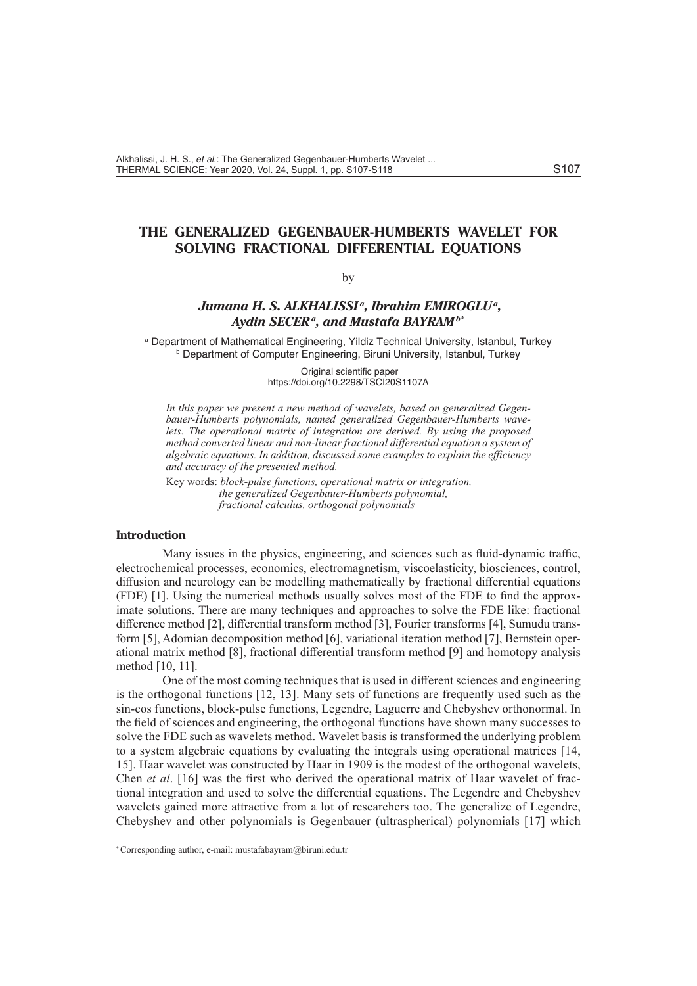# **THE GENERALIZED GEGENBAUER-HUMBERTS WAVELET FOR SOLVING FRACTIONAL DIFFERENTIAL EQUATIONS**

## by

# *Jumana H. S. ALKHALISSI a, Ibrahim EMIROGLUa, Aydin SECERa, and Mustafa BAYRAMb\**

a Department of Mathematical Engineering, Yildiz Technical University, Istanbul, Turkey **b** Department of Computer Engineering, Biruni University, Istanbul, Turkey

> Original scientific paper https://doi.org/10.2298/TSCI20S1107A

*In this paper we present a new method of wavelets, based on generalized Gegenbauer-Humberts polynomials, named generalized Gegenbauer-Humberts wavelets. The operational matrix of integration are derived. By using the proposed method converted linear and non-linear fractional differential equation a system of algebraic equations. In addition, discussed some examples to explain the efficiency and accuracy of the presented method.*

Key words: *block-pulse functions, operational matrix or integration, the generalized Gegenbauer-Humberts polynomial, fractional calculus, orthogonal polynomials*

#### **Introduction**

Many issues in the physics, engineering, and sciences such as fluid-dynamic traffic, electrochemical processes, economics, electromagnetism, viscoelasticity, biosciences, control, diffusion and neurology can be modelling mathematically by fractional differential equations (FDE) [1]. Using the numerical methods usually solves most of the FDE to find the approximate solutions. There are many techniques and approaches to solve the FDE like: fractional difference method [2], differential transform method [3], Fourier transforms [4], Sumudu transform [5], Adomian decomposition method [6], variational iteration method [7], Bernstein operational matrix method [8], fractional differential transform method [9] and homotopy analysis method [10, 11].

One of the most coming techniques that is used in different sciences and engineering is the orthogonal functions [12, 13]. Many sets of functions are frequently used such as the sin-cos functions, block-pulse functions, Legendre, Laguerre and Chebyshev orthonormal. In the field of sciences and engineering, the orthogonal functions have shown many successes to solve the FDE such as wavelets method. Wavelet basis is transformed the underlying problem to a system algebraic equations by evaluating the integrals using operational matrices [14, 15]. Haar wavelet was constructed by Haar in 1909 is the modest of the orthogonal wavelets, Chen *et al*. [16] was the first who derived the operational matrix of Haar wavelet of fractional integration and used to solve the differential equations. The Legendre and Chebyshev wavelets gained more attractive from a lot of researchers too. The generalize of Legendre, Chebyshev and other polynomials is Gegenbauer (ultraspherical) polynomials [17] which

<sup>\*</sup> Corresponding author, e-mail: mustafabayram@biruni.edu.tr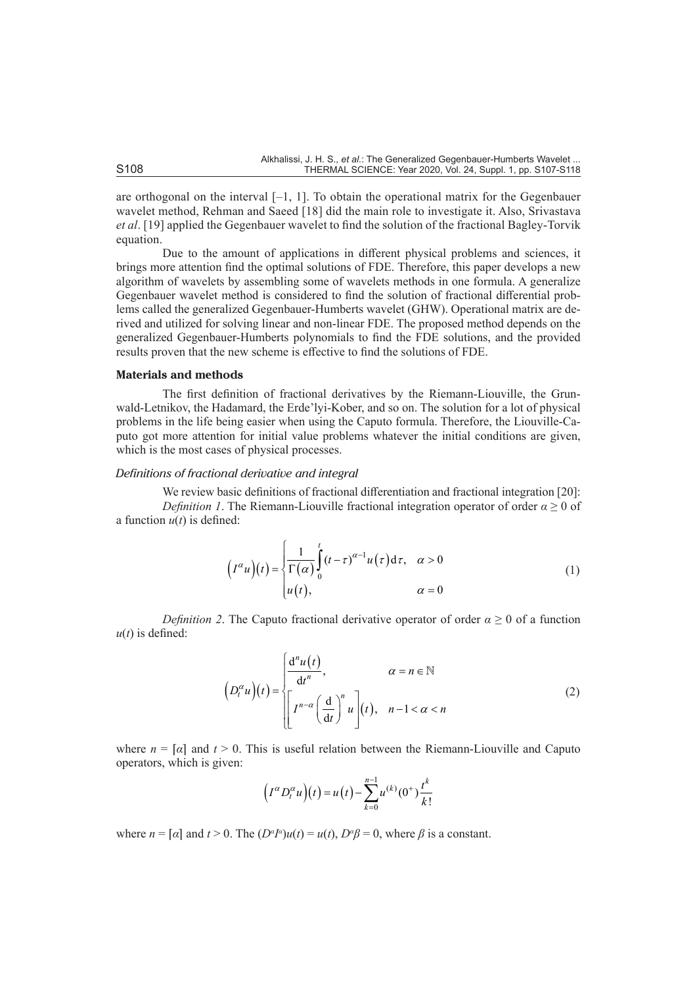are orthogonal on the interval  $[-1, 1]$ . To obtain the operational matrix for the Gegenbauer wavelet method, Rehman and Saeed [18] did the main role to investigate it. Also, Srivastava *et al*. [19] applied the Gegenbauer wavelet to find the solution of the fractional Bagley-Torvik equation.

Due to the amount of applications in different physical problems and sciences, it brings more attention find the optimal solutions of FDE. Therefore, this paper develops a new algorithm of wavelets by assembling some of wavelets methods in one formula. A generalize Gegenbauer wavelet method is considered to find the solution of fractional differential problems called the generalized Gegenbauer-Humberts wavelet (GHW). Operational matrix are derived and utilized for solving linear and non-linear FDE. The proposed method depends on the generalized Gegenbauer-Humberts polynomials to find the FDE solutions, and the provided results proven that the new scheme is effective to find the solutions of FDE.

### **Materials and methods**

The first definition of fractional derivatives by the Riemann-Liouville, the Grunwald-Letnikov, the Hadamard, the Erde'lyi-Kober, and so on. The solution for a lot of physical problems in the life being easier when using the Caputo formula. Therefore, the Liouville-Caputo got more attention for initial value problems whatever the initial conditions are given, which is the most cases of physical processes.

### *Definitions of fractional derivative and integral*

We review basic definitions of fractional differentiation and fractional integration [20]: *Definition 1*. The Riemann-Liouville fractional integration operator of order *α* ≥ 0 of a function  $u(t)$  is defined:

$$
\left(I^{\alpha}u\right)(t) = \begin{cases} \frac{1}{\Gamma(\alpha)} \int_{0}^{t} (t-\tau)^{\alpha-1} u(\tau) d\tau, & \alpha > 0\\ u(t), & \alpha = 0 \end{cases}
$$
 (1)

*Definition 2.* The Caputo fractional derivative operator of order  $\alpha \geq 0$  of a function  $u(t)$  is defined:

$$
\left(D_t^{\alpha} u\right)(t) = \begin{cases} \frac{d^n u(t)}{dt^n}, & \alpha = n \in \mathbb{N} \\ \left[I^{n-\alpha} \left(\frac{d}{dt}\right)^n u\right](t), & n-1 < \alpha < n \end{cases}
$$
 (2)

where  $n = [\alpha]$  and  $t > 0$ . This is useful relation between the Riemann-Liouville and Caputo operators, which is given:

$$
(I^{\alpha}D_t^{\alpha}u)(t) = u(t) - \sum_{k=0}^{n-1} u^{(k)}(0^+) \frac{t^k}{k!}
$$

where  $n = [\alpha]$  and  $t > 0$ . The  $(D^{\alpha}I^{\alpha})u(t) = u(t), D^{\alpha}\beta = 0$ , where  $\beta$  is a constant.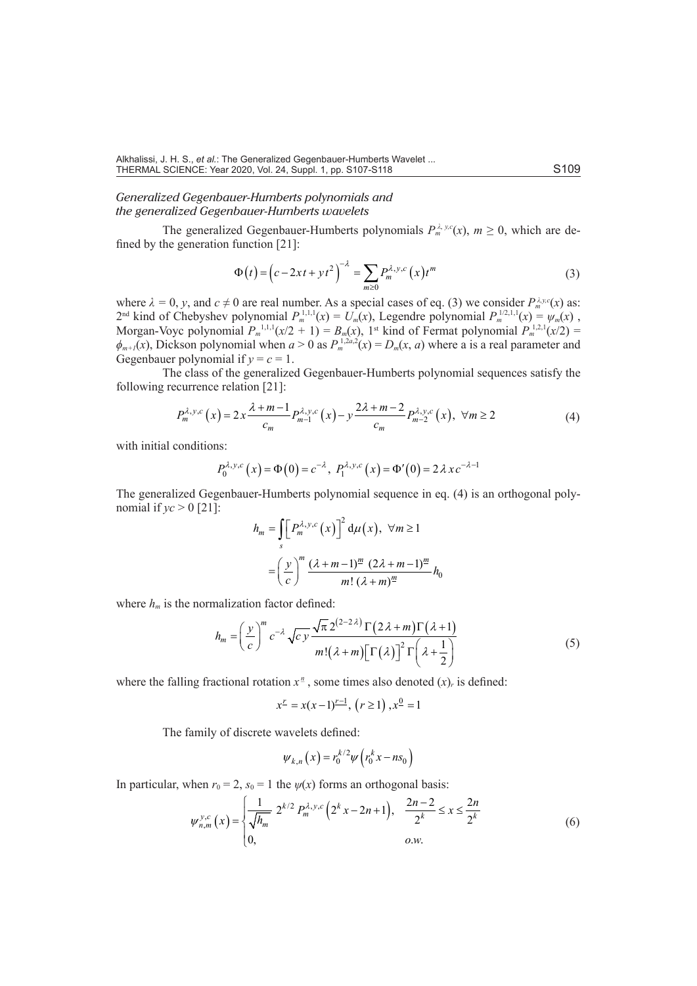# *Generalized Gegenbauer-Humberts polynomials and the generalized Gegenbauer-Humberts wavelets*

The generalized Gegenbauer-Humberts polynomials  $P_m^{\lambda, y,c}(x)$ ,  $m \ge 0$ , which are defined by the generation function [21]:

$$
\Phi(t) = \left(c - 2xt + yt^2\right)^{-\lambda} = \sum_{m \ge 0} P_m^{\lambda, y, c}(x) t^m \tag{3}
$$

where  $\lambda = 0$ , *y*, and  $c \neq 0$  are real number. As a special cases of eq. (3) we consider  $P_m^{\lambda, y, c}(x)$  as:  $2^{nd}$  kind of Chebyshev polynomial  $P_m^{1,1,1}(x) = U_m(x)$ , Legendre polynomial  $P_m^{1/2,1,1}(x) = \psi_m(x)$ , Morgan-Voyc polynomial  $P_m^{\{1,1,1\}}(x/2+1) = B_m(x)$ , 1<sup>st</sup> kind of Fermat polynomial  $P_m^{\{1,2,1\}}(x/2) =$  $\phi_{m+1}(x)$ , Dickson polynomial when  $a > 0$  as  $P_m^{1,2a,2}(x) = D_m(x, a)$  where a is a real parameter and Gegenbauer polynomial if  $y = c = 1$ .

The class of the generalized Gegenbauer-Humberts polynomial sequences satisfy the following recurrence relation [21]:

$$
P_m^{\lambda, y, c}(x) = 2x \frac{\lambda + m - 1}{c_m} P_{m-1}^{\lambda, y, c}(x) - y \frac{2\lambda + m - 2}{c_m} P_{m-2}^{\lambda, y, c}(x), \ \forall m \ge 2
$$
 (4)

with initial conditions:

$$
P_0^{\lambda,y,c}(x) = \Phi(0) = c^{-\lambda}, P_1^{\lambda,y,c}(x) = \Phi'(0) = 2 \lambda x c^{-\lambda-1}
$$

The generalized Gegenbauer-Humberts polynomial sequence in eq. (4) is an orthogonal polynomial if  $yc > 0$  [21]:

$$
h_m = \int_s \left[ P_m^{\lambda, y, c} (x) \right]^2 d\mu(x), \ \forall m \ge 1
$$
  
= 
$$
\left( \frac{y}{c} \right)^m \frac{(\lambda + m - 1)^m (2\lambda + m - 1)^m}{m! (\lambda + m)^m} h_0
$$

where  $h_m$  is the normalization factor defined:

$$
h_m = \left(\frac{y}{c}\right)^m c^{-\lambda} \sqrt{cy} \frac{\sqrt{\pi} 2^{(2-2\lambda)} \Gamma(2\lambda + m) \Gamma(\lambda + 1)}{m!(\lambda + m) \Gamma(\lambda)\Gamma^2 \Gamma(\lambda + \frac{1}{2})}
$$
(5)

where the falling fractional rotation  $x^{\pi}$ , some times also denoted  $(x)$ , is defined:

$$
x^{\underline{r}} = x(x-1)^{\underline{r-1}}, (r \ge 1), x^{\underline{0}} = 1
$$

The family of discrete wavelets defined:

$$
\psi_{k,n}\left(x\right) = r_0^{k/2}\psi\left(r_0^k x - ns_0\right)
$$

In particular, when  $r_0 = 2$ ,  $s_0 = 1$  the  $\psi(x)$  forms an orthogonal basis:

$$
\psi_{n,m}^{\mathcal{Y},c}(x) = \begin{cases} \frac{1}{\sqrt{h_m}} & 2^{k/2} P_m^{\lambda,\mathcal{Y},c} \left( 2^k x - 2n + 1 \right), & \frac{2n - 2}{2^k} \le x \le \frac{2n}{2^k} \\ 0, & \text{ o.w.} \end{cases} \tag{6}
$$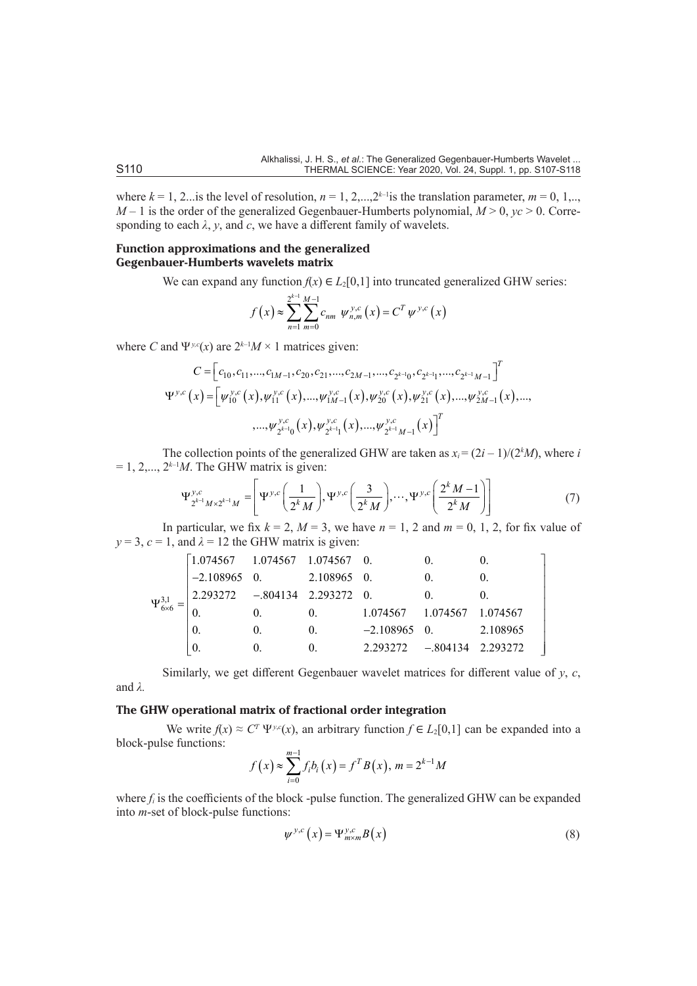where  $k = 1, 2...$  is the level of resolution,  $n = 1, 2,...,2^{k-1}$  is the translation parameter,  $m = 0, 1,...$  $M-1$  is the order of the generalized Gegenbauer-Humberts polynomial,  $M > 0$ ,  $yc > 0$ . Corresponding to each  $\lambda$ ,  $y$ , and  $c$ , we have a different family of wavelets.

### **Function approximations and the generalized Gegenbauer-Humberts wavelets matrix**

We can expand any function  $f(x) \in L_2[0,1]$  into truncated generalized GHW series:

$$
f(x) \approx \sum_{n=1}^{2^{k-1}} \sum_{m=0}^{M-1} c_{nm} \psi_{n,m}^{y,c}(x) = C^T \psi^{y,c}(x)
$$

where *C* and  $\Psi$ <sup>*y*,*c*</sup>(*x*) are  $2^{k-1}M \times 1$  matrices given:

$$
C = \left[c_{10}, c_{11}, ..., c_{1M-1}, c_{20}, c_{21}, ..., c_{2M-1}, ..., c_{2^{k-1}0}, c_{2^{k-1}1}, ..., c_{2^{k-1}M-1}\right]^T
$$
  
\n
$$
\Psi^{y,c}(x) = \left[\psi_{10}^{y,c}(x), \psi_{11}^{y,c}(x), ..., \psi_{1M-1}^{y,c}(x), \psi_{20}^{y,c}(x), \psi_{21}^{y,c}(x), ..., \psi_{2M-1}^{y,c}(x), ..., \psi_{2^{k-1}0}^{y,c}(x), \psi_{2^{k-1}1}^{y,c}(x), ..., \psi_{2^{k-1}M-1}^{y,c}(x)\right]^T
$$

The collection points of the generalized GHW are taken as  $x_i = (2i - 1)/(2^k M)$ , where *i*  $= 1, 2,..., 2<sup>k-1</sup>M$ . The GHW matrix is given:

$$
\Psi_{2^{k-1}M \times 2^{k-1}M}^{y,c} = \left[ \Psi^{y,c} \left( \frac{1}{2^k M} \right), \Psi^{y,c} \left( \frac{3}{2^k M} \right), \cdots, \Psi^{y,c} \left( \frac{2^k M - 1}{2^k M} \right) \right]
$$
(7)

In particular, we fix  $k = 2$ ,  $M = 3$ , we have  $n = 1, 2$  and  $m = 0, 1, 2$ , for fix value of  $y = 3$ ,  $c = 1$ , and  $\lambda = 12$  the GHW matrix is given:

|                          | $\vert 1.074567 \quad 1.074567 \quad 1.074567 \quad 0.$                    |             |                            |          |
|--------------------------|----------------------------------------------------------------------------|-------------|----------------------------|----------|
|                          | $-2.108965$ 0.                                                             | 2.108965 0. |                            |          |
| $\Psi_{6\times 6}^{3,1}$ | $\begin{array}{cccc} \n2.293272 & -0.804134 & 2.293272 & 0. \n\end{array}$ |             |                            |          |
|                          |                                                                            | $\Omega$ .  | 1.074567 1.074567 1.074567 |          |
|                          | 0.                                                                         | 0.          | $-2.108965$ 0.             | 2.108965 |
|                          | $\theta$ .                                                                 | $\theta$ .  | 2.293272 -804134 2.293272  |          |

Similarly, we get different Gegenbauer wavelet matrices for different value of *y*, *c*, and *λ.*

# **The GHW operational matrix of fractional order integration**

We write  $f(x) \approx C^T \Psi^{y,c}(x)$ , an arbitrary function  $f \in L_2[0,1]$  can be expanded into a block-pulse functions:

$$
f(x) \approx \sum_{i=0}^{m-1} f_i b_i(x) = f^T B(x), m = 2^{k-1} M
$$

where  $f_i$  is the coefficients of the block -pulse function. The generalized GHW can be expanded into *m*-set of block-pulse functions:

$$
\psi^{\mathcal{Y},c}\left(x\right) = \Psi_{m \times m}^{\mathcal{Y},c}B\left(x\right) \tag{8}
$$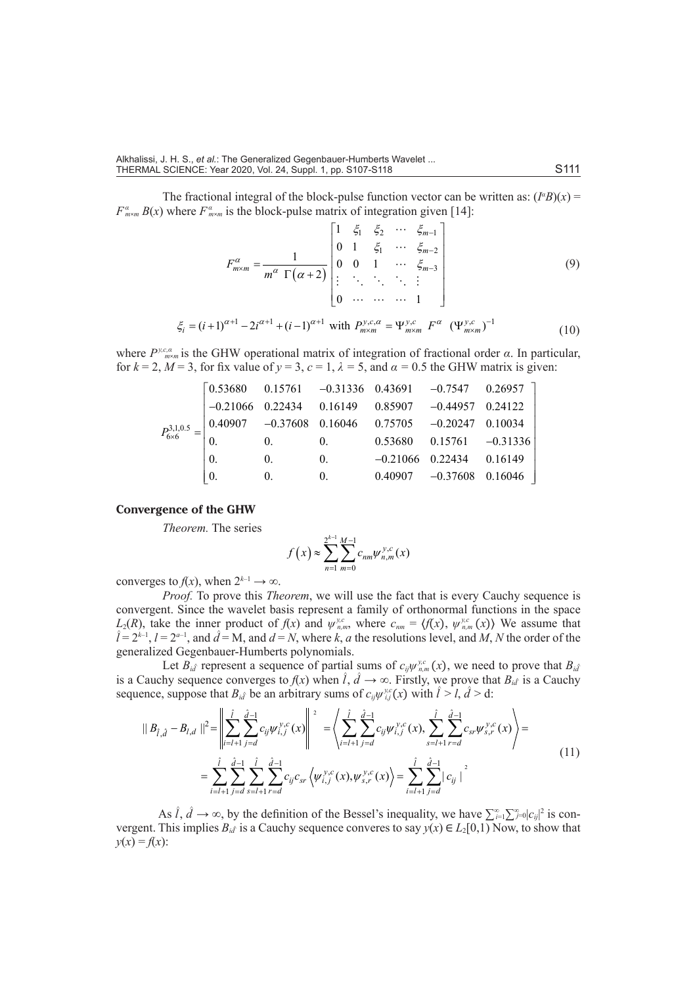The fractional integral of the block-pulse function vector can be written as:  $(I^{\alpha}B)(x) =$  $F^{\alpha}_{m \times m} B(x)$  where  $F^{\alpha}_{m \times m}$  is the block-pulse matrix of integration given [14]:

$$
F_{m \times m}^{\alpha} = \frac{1}{m^{\alpha} \Gamma(\alpha + 2)} \begin{bmatrix} 1 & \xi_1 & \xi_2 & \cdots & \xi_{m-1} \\ 0 & 1 & \xi_1 & \cdots & \xi_{m-2} \\ 0 & 0 & 1 & \cdots & \xi_{m-3} \\ \vdots & \ddots & \ddots & \ddots & \vdots \\ 0 & \cdots & \cdots & \cdots & 1 \end{bmatrix}
$$
(9)

$$
\xi_i = (i+1)^{\alpha+1} - 2i^{\alpha+1} + (i-1)^{\alpha+1} \text{ with } P_{m \times m}^{y,c,\alpha} = \Psi_{m \times m}^{y,c} F^{\alpha} \left( \Psi_{m \times m}^{y,c} \right)^{-1}
$$
(10)

where  $P^{\mu,c,a}$  is the GHW operational matrix of integration of fractional order  $\alpha$ . In particular, for  $k = 2$ ,  $M = 3$ , for fix value of  $\gamma = 3$ ,  $c = 1$ ,  $\lambda = 5$ , and  $\alpha = 0.5$  the GHW matrix is given:

| $P_{6\times 6}^{3,1,0.5}$ |            |            |                    | $\begin{bmatrix} 0.53680 & 0.15761 & -0.31336 & 0.43691 & -0.7547 & 0.26957 \end{bmatrix}$ |         |
|---------------------------|------------|------------|--------------------|--------------------------------------------------------------------------------------------|---------|
|                           |            |            |                    | $-0.21066$ 0.22434 0.16149 0.85907 -0.44957 0.24122                                        |         |
|                           |            |            |                    | $\begin{bmatrix} 0.40907 & -0.37608 & 0.16046 & 0.75705 & -0.20247 \end{bmatrix}$          | 0.10034 |
|                           |            | $\Omega$ . | 0.                 | $0.53680$ $0.15761$ $-0.31336$                                                             |         |
|                           | $\theta$ . | $\theta$ . | $\hspace{0.1em}0.$ | $-0.21066$ 0.22434 0.16149                                                                 |         |
|                           | $\theta$ . | $\theta$ . | $\theta$ .         | $0.40907$ $-0.37608$ $0.16046$                                                             |         |

#### **Convergence of the GHW**

*Theorem.* The series

$$
f(x) \approx \sum_{n=1}^{2^{k-1}} \sum_{m=0}^{M-1} c_{nm} \psi_{n,m}^{y,c}(x)
$$

converges to  $f(x)$ , when  $2^{k-1} \rightarrow \infty$ .

*Proof.* To prove this *Theorem*, we will use the fact that is every Cauchy sequence is convergent. Since the wavelet basis represent a family of orthonormal functions in the space *L*<sub>2</sub>(*R*), take the inner product of  $f(x)$  and  $\psi_{n,m}^{y,c}$ , where  $c_{nm} = \langle f(x), \psi_{n,m}^{y,c}(x) \rangle$  We assume that  $\hat{l} = 2^{k-1}$ ,  $l = 2^{a-1}$ , and  $\hat{d} = M$ , and  $d = N$ , where *k*, *a* the resolutions level, and *M*, *N* the order of the generalized Gegenbauer-Humberts polynomials.

Let  $B_{i\hat{d}}$  represent a sequence of partial sums of  $c_{ij}\psi_{n,m}^{y,c}(x)$ , we need to prove that  $B_{i\hat{d}}$ is a Cauchy sequence converges to  $f(x)$  when  $\hat{l}$ ,  $\hat{d} \to \infty$ . Firstly, we prove that  $B_{i\hat{d}}$  is a Cauchy sequence, suppose that  $B_{i\hat{d}}$  be an arbitrary sums of  $c_{ij}\psi_{i,j}^{y,c}(x)$  with  $\hat{l} > l$ ,  $\hat{d} > d$ :

$$
||B_{\hat{l},\hat{d}} - B_{l,d}||^2 = \left\| \sum_{i=l+1}^{\hat{l}} \sum_{j=d}^{\hat{d}-1} c_{ij} \psi_{i,j}^{y,c}(x) \right\|^2 = \left\langle \sum_{i=l+1}^{\hat{l}} \sum_{j=d}^{\hat{d}-1} c_{ij} \psi_{i,j}^{y,c}(x), \sum_{s=l+1}^{\hat{l}} \sum_{r=d}^{\hat{d}-1} c_{sr} \psi_{s,r}^{y,c}(x) \right\rangle = \sum_{i=l+1}^{\hat{l}} \sum_{j=d}^{\hat{d}-1} \sum_{s=l+1}^{\hat{l}} \sum_{r=d}^{\hat{l}} c_{ij} c_{sr} \left\langle \psi_{i,j}^{y,c}(x), \psi_{s,r}^{y,c}(x) \right\rangle = \sum_{i=l+1}^{\hat{l}} \sum_{j=d}^{\hat{d}-1} |c_{ij}|^2
$$
\n(11)

As  $\hat{l}$ ,  $\hat{d} \to \infty$ , by the definition of the Bessel's inequality, we have  $\sum_{i=1}^{\infty} \sum_{j=0}^{\infty} |c_{ij}|^2$  is convergent. This implies  $B_{i,j}$  is a Cauchy sequence converes to say  $y(x) \in L_2[0,1]$  Now, to show that  $y(x) = f(x)$ :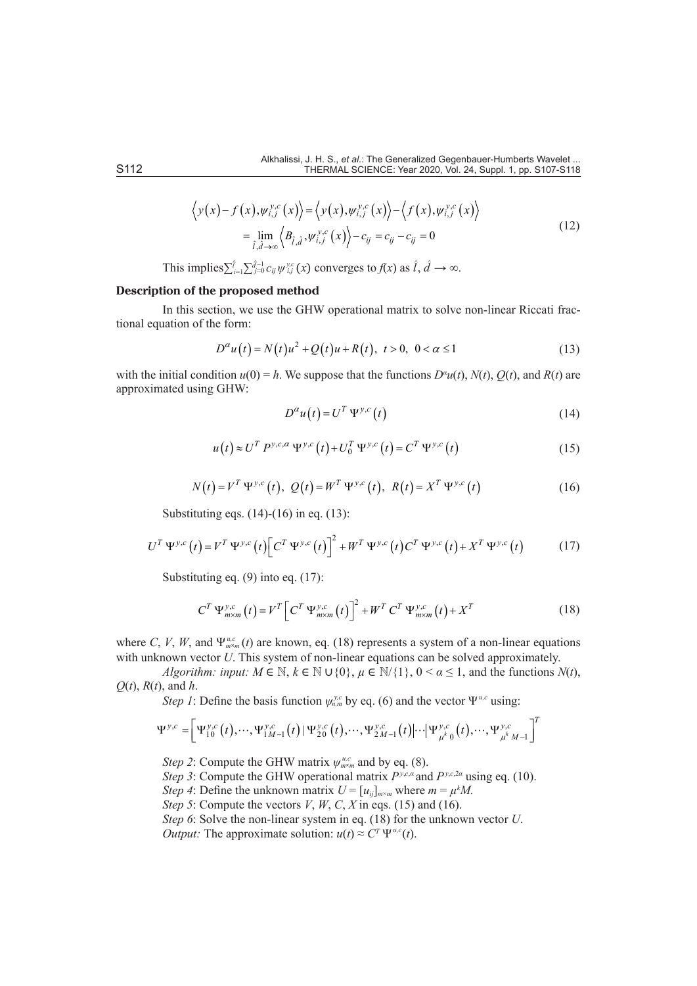$$
\left\langle y(x) - f(x), \psi_{i,j}^{y,c}(x) \right\rangle = \left\langle y(x), \psi_{i,j}^{y,c}(x) \right\rangle - \left\langle f(x), \psi_{i,j}^{y,c}(x) \right\rangle
$$
  
= 
$$
\lim_{\hat{i}, \hat{d} \to \infty} \left\langle B_{\hat{i}, \hat{d}}, \psi_{i,j}^{y,c}(x) \right\rangle - c_{ij} = c_{ij} - c_{ij} = 0
$$
 (12)

This implies  $\sum_{i=1}^{f} \sum_{j=0}^{\hat{d}-1} c_{ij} \psi_{i,j}^{y,c}(x)$  converges to  $f(x)$  as  $\hat{i}$ ,  $\hat{d} \to \infty$ .

# **Description of the proposed method**

In this section, we use the GHW operational matrix to solve non-linear Riccati fractional equation of the form:

$$
D^{\alpha}u(t) = N(t)u^{2} + Q(t)u + R(t), \ t > 0, \ 0 < \alpha \le 1
$$
 (13)

with the initial condition  $u(0) = h$ . We suppose that the functions  $D^{\alpha}u(t)$ ,  $N(t)$ ,  $Q(t)$ , and  $R(t)$  are approximated using GHW:

$$
D^{\alpha}u(t) = U^T \Psi^{\mathbf{y},c}(t)
$$
\n(14)

$$
u(t) \approx U^T P^{y,c,\alpha} \Psi^{y,c}(t) + U_0^T \Psi^{y,c}(t) = C^T \Psi^{y,c}(t)
$$
 (15)

$$
N(t) = V^T \Psi^{y,c}(t), \ Q(t) = W^T \Psi^{y,c}(t), \ R(t) = X^T \Psi^{y,c}(t)
$$
 (16)

Substituting eqs.  $(14)-(16)$  in eq.  $(13)$ :

$$
U^T \Psi^{y,c}(t) = V^T \Psi^{y,c}(t) \left[ C^T \Psi^{y,c}(t) \right]^2 + W^T \Psi^{y,c}(t) C^T \Psi^{y,c}(t) + X^T \Psi^{y,c}(t) \tag{17}
$$

Substituting eq. (9) into eq. (17):

$$
C^T \Psi_{m \times m}^{y,c}(t) = V^T \left[ C^T \Psi_{m \times m}^{y,c}(t) \right]^2 + W^T C^T \Psi_{m \times m}^{y,c}(t) + X^T
$$
 (18)

where *C*, *V*, *W*, and  $\Psi_{m \times m}^{u,c}(t)$  are known, eq. (18) represents a system of a non-linear equations with unknown vector *U*. This system of non-linear equations can be solved approximately.

*Algorithm: input:*  $M \in \mathbb{N}, k \in \mathbb{N} \cup \{0\}, \mu \in \mathbb{N}/\{1\}, 0 < \alpha \leq 1$ , and the functions  $N(t)$ , *Q*(*t*), *R*(*t*), and *h*.

*Step 1*: Define the basis function  $\psi_{n,m}^{y,c}$  by eq. (6) and the vector  $\Psi^{u,c}$  using:

$$
\Psi^{\mathcal{Y},c} = \left[ \Psi_{10}^{\mathcal{Y},c}(t), \cdots, \Psi_{1M-1}^{\mathcal{Y},c}(t) | \Psi_{20}^{\mathcal{Y},c}(t), \cdots, \Psi_{2M-1}^{\mathcal{Y},c}(t) | \cdots | \Psi_{\mu^k 0}^{\mathcal{Y},c}(t), \cdots, \Psi_{\mu^k M-1}^{\mathcal{Y},c} \right]^T
$$

*Step 2*: Compute the GHW matrix  $\psi_{m \times m}^{u,c}$  and by eq. (8).

*Step 3*: Compute the GHW operational matrix *Py,ε,α* and *Py,ε,2α* using eq. (10).

*Step 4*: Define the unknown matrix  $U = [u_{ij}]_{m \times m}$  where  $m = \mu^k M$ .

*Step 5*: Compute the vectors *V*, *W*, *C*, *X* in eqs. (15) and (16).

*Step 6*: Solve the non-linear system in eq. (18) for the unknown vector *U*. *Output:* The approximate solution:  $u(t) \approx C^T \Psi^{u,c}(t)$ .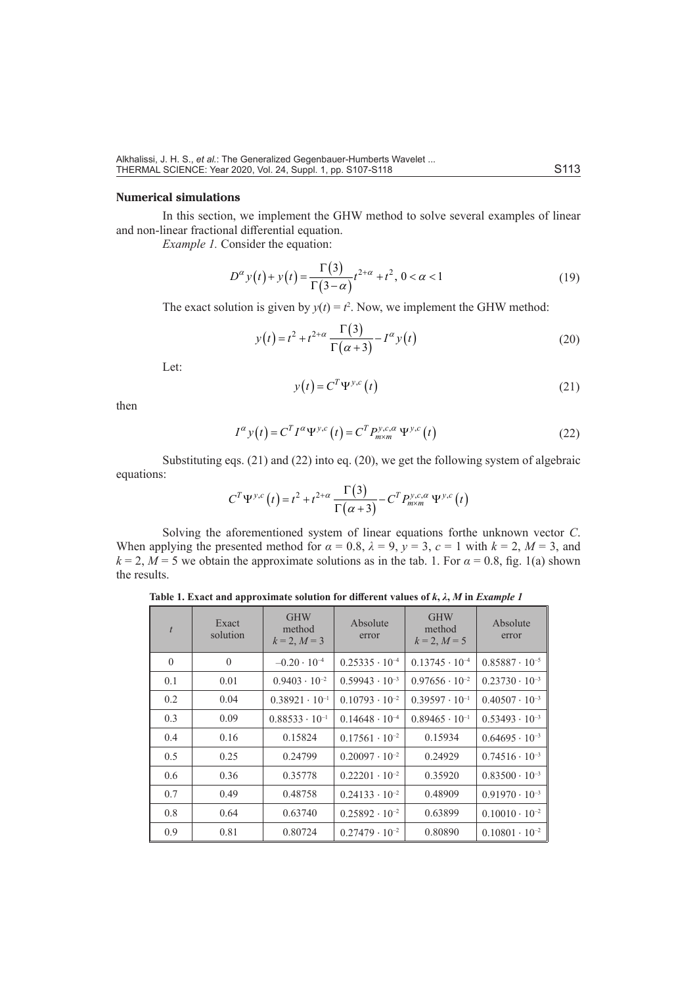### **Numerical simulations**

In this section, we implement the GHW method to solve several examples of linear and non-linear fractional differential equation.

*Example 1.* Consider the equation:

$$
D^{\alpha} y(t) + y(t) = \frac{\Gamma(3)}{\Gamma(3-\alpha)} t^{2+\alpha} + t^2, 0 < \alpha < 1
$$
 (19)

The exact solution is given by  $y(t) = t^2$ . Now, we implement the GHW method:

$$
y(t) = t2 + t2+\alpha \frac{\Gamma(3)}{\Gamma(\alpha+3)} - I^{\alpha} y(t)
$$
 (20)

Let:

$$
y(t) = C^T \Psi^{y,c}(t)
$$
 (21)

then

$$
I^{\alpha} y(t) = C^{T} I^{\alpha} \Psi^{\mathcal{Y},c}(t) = C^{T} P_{m \times m}^{\mathcal{Y},c,\alpha} \Psi^{\mathcal{Y},c}(t)
$$
\n(22)

Substituting eqs. (21) and (22) into eq. (20), we get the following system of algebraic equations:

$$
C^T \Psi^{\gamma,c}(t) = t^2 + t^{2+\alpha} \frac{\Gamma(3)}{\Gamma(\alpha+3)} - C^T P_{m \times m}^{\gamma,c,\alpha} \Psi^{\gamma,c}(t)
$$

Solving the aforementioned system of linear equations forthe unknown vector *C*. When applying the presented method for  $\alpha = 0.8$ ,  $\lambda = 9$ ,  $y = 3$ ,  $c = 1$  with  $k = 2$ ,  $M = 3$ , and  $k = 2$ ,  $\overrightarrow{M} = 5$  we obtain the approximate solutions as in the tab. 1. For  $\alpha = 0.8$ , fig. 1(a) shown the results.

**Table 1. Exact and approximate solution for different values of** *k***,** *λ***,** *M* **in** *Example 1*

| $\bar{t}$ | Exact<br>solution | <b>GHW</b><br>method<br>$k = 2, M = 3$ | Absolute<br>error       | <b>GHW</b><br>method<br>$k = 2, M = 5$ | Absolute<br>error       |
|-----------|-------------------|----------------------------------------|-------------------------|----------------------------------------|-------------------------|
| $\theta$  | $\theta$          | $-0.20 \cdot 10^{-4}$                  | $0.25335 \cdot 10^{-4}$ | $0.13745 \cdot 10^{-4}$                | $0.85887 \cdot 10^{-5}$ |
| 0.1       | 0.01              | $0.9403 \cdot 10^{-2}$                 | $0.59943 \cdot 10^{-3}$ | $0.97656 \cdot 10^{-2}$                | $0.23730 \cdot 10^{-3}$ |
| 0.2       | 0.04              | $0.38921 \cdot 10^{-1}$                | $0.10793 \cdot 10^{-2}$ | $0.39597 \cdot 10^{-1}$                | $0.40507 \cdot 10^{-3}$ |
| 0.3       | 0.09              | $0.88533 \cdot 10^{-1}$                | $0.14648 \cdot 10^{-4}$ | $0.89465 \cdot 10^{-1}$                | $0.53493 \cdot 10^{-3}$ |
| 0.4       | 0.16              | 0.15824                                | $0.17561 \cdot 10^{-2}$ | 0.15934                                | $0.64695 \cdot 10^{-3}$ |
| 0.5       | 0.25              | 0.24799                                | $0.20097 \cdot 10^{-2}$ | 0.24929                                | $0.74516 \cdot 10^{-3}$ |
| 0.6       | 0.36              | 0.35778                                | $0.22201 \cdot 10^{-2}$ | 0.35920                                | $0.83500 \cdot 10^{-3}$ |
| 0.7       | 0.49              | 0.48758                                | $0.24133 \cdot 10^{-2}$ | 0.48909                                | $0.91970 \cdot 10^{-3}$ |
| 0.8       | 0.64              | 0.63740                                | $0.25892 \cdot 10^{-2}$ | 0.63899                                | $0.10010 \cdot 10^{-2}$ |
| 0.9       | 0.81              | 0.80724                                | $0.27479 \cdot 10^{-2}$ | 0.80890                                | $0.10801 \cdot 10^{-2}$ |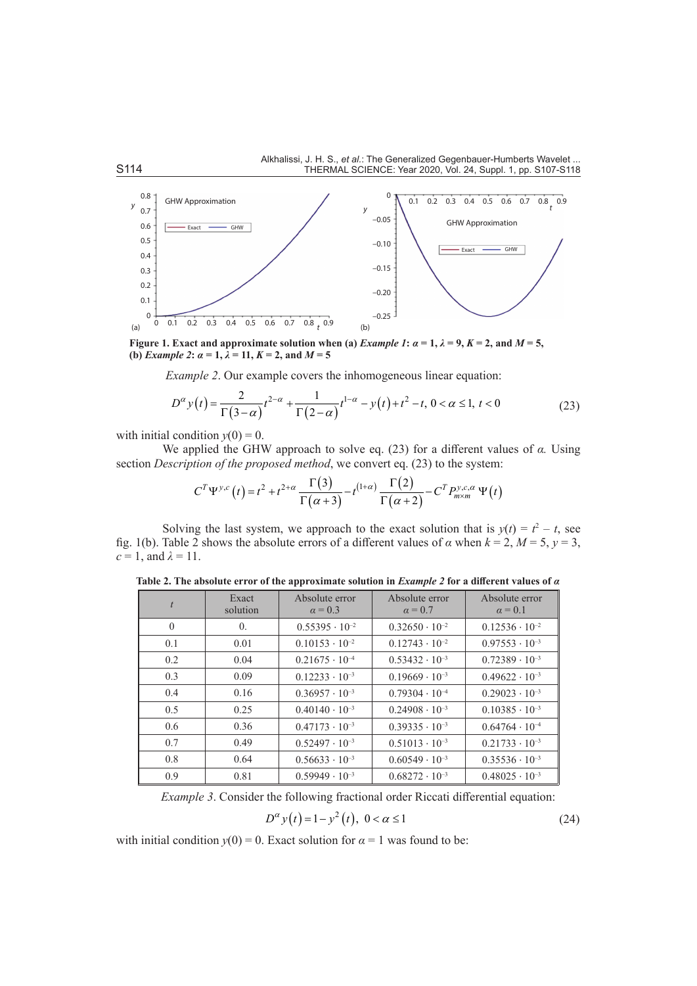

**Figure 1. Exact and approximate solution when (a)** *Example 1***<b>:**  $\alpha = 1$ ,  $\lambda = 9$ ,  $K = 2$ , and  $M = 5$ , **(b)** *Example 2***:**  $\alpha = 1$ ,  $\hat{\lambda} = 11$ ,  $K = 2$ , and  $M = 5$ 

*Example 2*. Our example covers the inhomogeneous linear equation:

$$
D^{\alpha} y(t) = \frac{2}{\Gamma(3-\alpha)} t^{2-\alpha} + \frac{1}{\Gamma(2-\alpha)} t^{1-\alpha} - y(t) + t^2 - t, \ 0 < \alpha \le 1, \ t < 0 \tag{23}
$$

with initial condition  $y(0) = 0$ .

We applied the GHW approach to solve eq. (23) for a different values of *α.* Using section *Description of the proposed method*, we convert eq. (23) to the system:

$$
C^T\Psi^{y,c}(t) = t^2 + t^{2+\alpha} \frac{\Gamma(3)}{\Gamma(\alpha+3)} - t^{(1+\alpha)} \frac{\Gamma(2)}{\Gamma(\alpha+2)} - C^T P_{m \times m}^{y,c,\alpha} \Psi(t)
$$

Solving the last system, we approach to the exact solution that is  $y(t) = t^2 - t$ , see fig. 1(b). Table 2 shows the absolute errors of a different values of  $\alpha$  when  $k = 2$ ,  $M = 5$ ,  $y = 3$ ,  $c = 1$ , and  $\lambda = 11$ .

| $\boldsymbol{t}$ | Exact<br>solution | Absolute error<br>$\alpha = 0.3$ | Absolute error<br>$\alpha = 0.7$ | Absolute error<br>$\alpha = 0.1$ |
|------------------|-------------------|----------------------------------|----------------------------------|----------------------------------|
| $\theta$         | $\theta$ .        | $0.55395 \cdot 10^{-2}$          | $0.32650 \cdot 10^{-2}$          | $0.12536 \cdot 10^{-2}$          |
| 0.1              | 0.01              | $0.10153 \cdot 10^{-2}$          | $0.12743 \cdot 10^{-2}$          | $0.97553 \cdot 10^{-3}$          |
| 0.2              | 0.04              | $0.21675 \cdot 10^{-4}$          | $0.53432 \cdot 10^{-3}$          | $0.72389 \cdot 10^{-3}$          |
| 0.3              | 0.09              | $0.12233 \cdot 10^{-3}$          | $0.19669 \cdot 10^{-3}$          | $0.49622 \cdot 10^{-3}$          |
| 0.4              | 0.16              | $0.36957 \cdot 10^{-3}$          | $0.79304 \cdot 10^{-4}$          | $0.29023 \cdot 10^{-3}$          |
| 0.5              | 0.25              | $0.40140 \cdot 10^{-3}$          | $0.24908 \cdot 10^{-3}$          | $0.10385 \cdot 10^{-3}$          |
| 0.6              | 0.36              | $0.47173 \cdot 10^{-3}$          | $0.39335 \cdot 10^{-3}$          | $0.64764 \cdot 10^{-4}$          |
| 0.7              | 0.49              | $0.52497 \cdot 10^{-3}$          | $0.51013 \cdot 10^{-3}$          | $0.21733 \cdot 10^{-3}$          |
| 0.8              | 0.64              | $0.56633 \cdot 10^{-3}$          | $0.60549 \cdot 10^{-3}$          | $0.35536 \cdot 10^{-3}$          |
| 0.9              | 0.81              | $0.59949 \cdot 10^{-3}$          | $0.68272 \cdot 10^{-3}$          | $0.48025 \cdot 10^{-3}$          |

**Table 2. The absolute error of the approximate solution in** *Example 2* **for a different values of** *α*

*Example 3*. Consider the following fractional order Riccati differential equation:

$$
D^{\alpha} y(t) = 1 - y^2(t), \ 0 < \alpha \le 1
$$
 (24)

with initial condition  $y(0) = 0$ . Exact solution for  $\alpha = 1$  was found to be: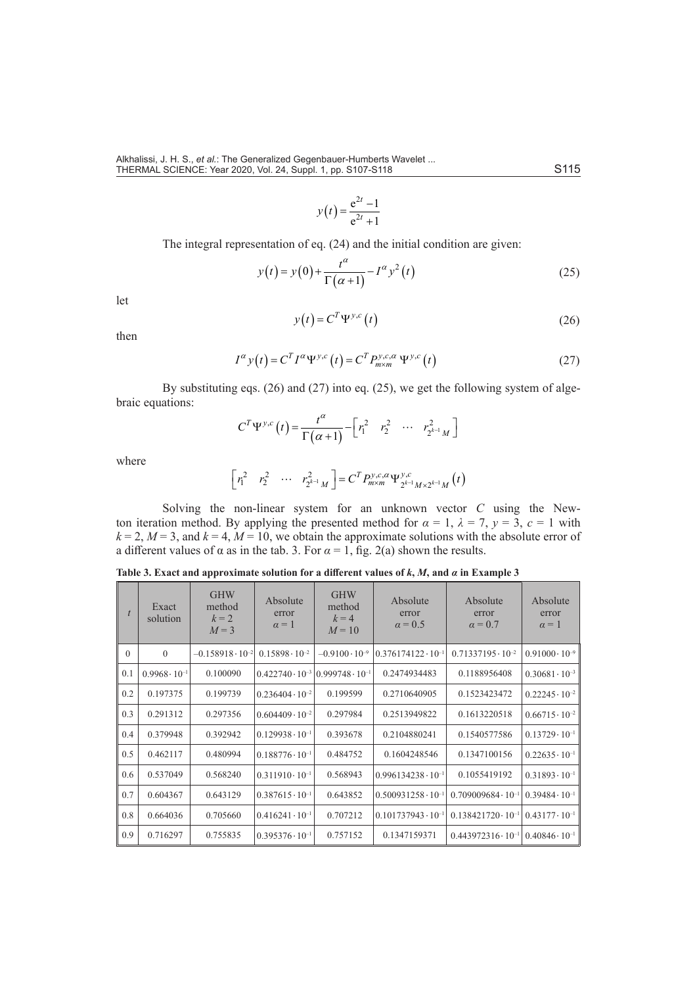$$
y(t) = \frac{e^{2t} - 1}{e^{2t} + 1}
$$

The integral representation of eq. (24) and the initial condition are given:

$$
y(t) = y(0) + \frac{t^{\alpha}}{\Gamma(\alpha + 1)} - I^{\alpha} y^2(t)
$$
 (25)

let

$$
y(t) = CT \Psiy,c (t)
$$
 (26)

then

$$
I^{\alpha} y(t) = C^{T} I^{\alpha} \Psi^{y,c}(t) = C^{T} P_{m \times m}^{y,c,a} \Psi^{y,c}(t)
$$
\n(27)

By substituting eqs. (26) and (27) into eq. (25), we get the following system of algebraic equations:

$$
C^T\Psi^{y,c}(t) = \frac{t^{\alpha}}{\Gamma(\alpha+1)} - \left[r_1^2 \quad r_2^2 \quad \cdots \quad r_{2^{k-1}M}^2\right]
$$

where

$$
\left[r_1^2 \quad r_2^2 \quad \cdots \quad r_{2^{k-1}M}^2\right] = C^T P_{m \times m}^{y,c,a} \Psi_{2^{k-1}M \times 2^{k-1}M}^{y,c}(t)
$$

Solving the non-linear system for an unknown vector *C* using the Newton iteration method. By applying the presented method for  $\alpha = 1$ ,  $\lambda = 7$ ,  $y = 3$ ,  $c = 1$  with  $k = 2$ ,  $M = 3$ , and  $k = 4$ ,  $M = 10$ , we obtain the approximate solutions with the absolute error of a different values of  $\alpha$  as in the tab. 3. For  $\alpha = 1$ , fig. 2(a) shown the results.

**Table 3. Exact and approximate solution for a different values of** *k***,** *M***, and** *α* **in Example 3**

| $\mathfrak{t}$ | Exact<br>solution      | <b>GHW</b><br>method<br>$k=2$<br>$M=3$ | Absolute<br>error<br>$\alpha = 1$ | <b>GHW</b><br>method<br>$k=4$<br>$M=10$ | Absolute<br>error<br>$\alpha = 0.5$ | Absolute<br>error<br>$\alpha = 0.7$ | Absolute<br>error<br>$\alpha = 1$ |
|----------------|------------------------|----------------------------------------|-----------------------------------|-----------------------------------------|-------------------------------------|-------------------------------------|-----------------------------------|
| $\Omega$       | $\mathbf{0}$           | $-0.158918 \cdot 10^{-2}$              | $0.15898 \cdot 10^{-2}$           | $-0.9100 \cdot 10^{-9}$                 | $0.376174122 \cdot 10^{-1}$         | $0.71337195 \cdot 10^{-2}$          | $0.91000 \cdot 10^{-9}$           |
| 0.1            | $0.9968 \cdot 10^{-1}$ | 0.100090                               | $0.422740 \cdot 10^{-3}$          | $0.999748 \cdot 10^{-1}$                | 0.2474934483                        | 0.1188956408                        | $0.30681 \cdot 10^{-3}$           |
| 0.2            | 0.197375               | 0.199739                               | $0.236404 \cdot 10^{-2}$          | 0.199599                                | 0.2710640905                        | 0.1523423472                        | $0.22245 \cdot 10^{-2}$           |
| 0.3            | 0.291312               | 0.297356                               | $0.604409 \cdot 10^{-2}$          | 0.297984                                | 0.2513949822                        | 0.1613220518                        | $0.66715 \cdot 10^{-2}$           |
| 0.4            | 0.379948               | 0.392942                               | $0.129938 \cdot 10^{-1}$          | 0.393678                                | 0.2104880241                        | 0.1540577586                        | $0.13729 \cdot 10^{-1}$           |
| 0.5            | 0.462117               | 0.480994                               | $0.188776 \cdot 10^{-1}$          | 0.484752                                | 0.1604248546                        | 0.1347100156                        | $0.22635 \cdot 10^{-1}$           |
| 0.6            | 0.537049               | 0.568240                               | $0.311910 \cdot 10^{-1}$          | 0.568943                                | $0.996134238 \cdot 10^{-1}$         | 0.1055419192                        | $0.31893 \cdot 10^{-1}$           |
| 0.7            | 0.604367               | 0.643129                               | $0.387615 \cdot 10^{-1}$          | 0.643852                                | $0.500931258 \cdot 10^{-1}$         | $0.709009684 \cdot 10^{-1}$         | $0.39484 \cdot 10^{-1}$           |
| 0.8            | 0.664036               | 0.705660                               | $0.416241 \cdot 10^{-1}$          | 0.707212                                | $0.101737943 \cdot 10^{-1}$         | $0.138421720 \cdot 10^{-1}$         | $0.43177 \cdot 10^{-1}$           |
| 0.9            | 0.716297               | 0.755835                               | $0.395376 \cdot 10^{-1}$          | 0.757152                                | 0.1347159371                        | $0.443972316 \cdot 10^{-1}$         | $0.40846 \cdot 10^{-1}$           |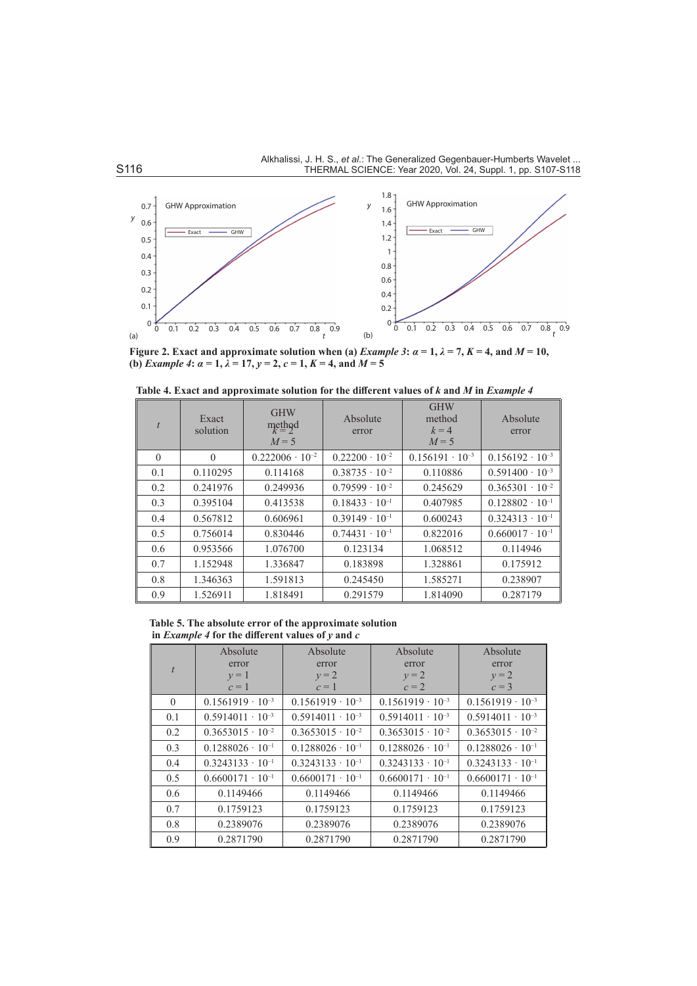

**Figure 2. Exact and approximate solution when (a)** *Example 3***:**  $\alpha = 1$ **,**  $\lambda = 7$ **,**  $K = 4$ **, and**  $M = 10$ **, (b)** *Example 4***:** *α* **= 1,** *λ* **= 17,** *y* **= 2,** *c* **= 1,** *K* **= 4, and** *M* **= 5**

| $\boldsymbol{t}$ | Exact<br>solution | <b>GHW</b><br>$m_{\kappa}$ ethod<br>$M=5$ | Absolute<br>error       | <b>GHW</b><br>method<br>$k = 4$<br>$M=5$ | Absolute<br>error        |
|------------------|-------------------|-------------------------------------------|-------------------------|------------------------------------------|--------------------------|
| $\theta$         | $\Omega$          | $0.222006 \cdot 10^{-2}$                  | $0.22200 \cdot 10^{-2}$ | $0.156191 \cdot 10^{-3}$                 | $0.156192 \cdot 10^{-3}$ |
| 0.1              | 0.110295          | 0.114168                                  | $0.38735 \cdot 10^{-2}$ | 0.110886                                 | $0.591400 \cdot 10^{-3}$ |
| 0.2              | 0.241976          | 0.249936                                  | $0.79599 \cdot 10^{-2}$ | 0.245629                                 | $0.365301 \cdot 10^{-2}$ |
| 0.3              | 0.395104          | 0.413538                                  | $0.18433 \cdot 10^{-1}$ | 0.407985                                 | $0.128802 \cdot 10^{-1}$ |
| 0.4              | 0.567812          | 0.606961                                  | $0.39149 \cdot 10^{-1}$ | 0.600243                                 | $0.324313 \cdot 10^{-1}$ |
| 0.5              | 0.756014          | 0.830446                                  | $0.74431 \cdot 10^{-1}$ | 0.822016                                 | $0.660017 \cdot 10^{-1}$ |
| 0.6              | 0.953566          | 1.076700                                  | 0.123134                | 1.068512                                 | 0.114946                 |
| 0.7              | 1.152948          | 1.336847                                  | 0.183898                | 1.328861                                 | 0.175912                 |
| 0.8              | 1.346363          | 1.591813                                  | 0.245450                | 1.585271                                 | 0.238907                 |
| 0.9              | 1.526911          | 1.818491                                  | 0.291579                | 1.814090                                 | 0.287179                 |

**Table 4. Exact and approximate solution for the different values of** *k* **and** *M* **in** *Example 4*

**Table 5. The absolute error of the approximate solution** in *Example 4* for the different values of  $\gamma$  and  $c$ 

|                | Absolute                  | Absolute                  | Absolute                  | Absolute                  |
|----------------|---------------------------|---------------------------|---------------------------|---------------------------|
| $\mathfrak{t}$ | error                     | error                     | error                     | error                     |
|                | $v=1$                     | $y = 2$                   | $v = 2$                   | $y = 2$                   |
|                | $c=1$                     | $c=1$                     | $c=2$                     | $c=3$                     |
| $\theta$       | $0.1561919 \cdot 10^{-3}$ | $0.1561919 \cdot 10^{-3}$ | $0.1561919 \cdot 10^{-3}$ | $0.1561919 \cdot 10^{-3}$ |
| 0.1            | $0.5914011 \cdot 10^{-3}$ | $0.5914011 \cdot 10^{-3}$ | $0.5914011 \cdot 10^{-3}$ | $0.5914011 \cdot 10^{-3}$ |
| 0.2            | $0.3653015 \cdot 10^{-2}$ | $0.3653015 \cdot 10^{-2}$ | $0.3653015 \cdot 10^{-2}$ | $0.3653015 \cdot 10^{-2}$ |
| 0.3            | $0.1288026 \cdot 10^{-1}$ | $0.1288026 \cdot 10^{-1}$ | $0.1288026 \cdot 10^{-1}$ | $0.1288026 \cdot 10^{-1}$ |
| 0.4            | $0.3243133 \cdot 10^{-1}$ | $0.3243133 \cdot 10^{-1}$ | $0.3243133 \cdot 10^{-1}$ | $0.3243133 \cdot 10^{-1}$ |
| 0.5            | $0.6600171 \cdot 10^{-1}$ | $0.6600171 \cdot 10^{-1}$ | $0.6600171 \cdot 10^{-1}$ | $0.6600171 \cdot 10^{-1}$ |
| 0.6            | 0.1149466                 | 0.1149466                 | 0.1149466                 | 0.1149466                 |
| 0.7            | 0.1759123                 | 0.1759123                 | 0.1759123                 | 0.1759123                 |
| 0.8            | 0.2389076                 | 0.2389076                 | 0.2389076                 | 0.2389076                 |
| 0.9            | 0.2871790                 | 0.2871790                 | 0.2871790                 | 0.2871790                 |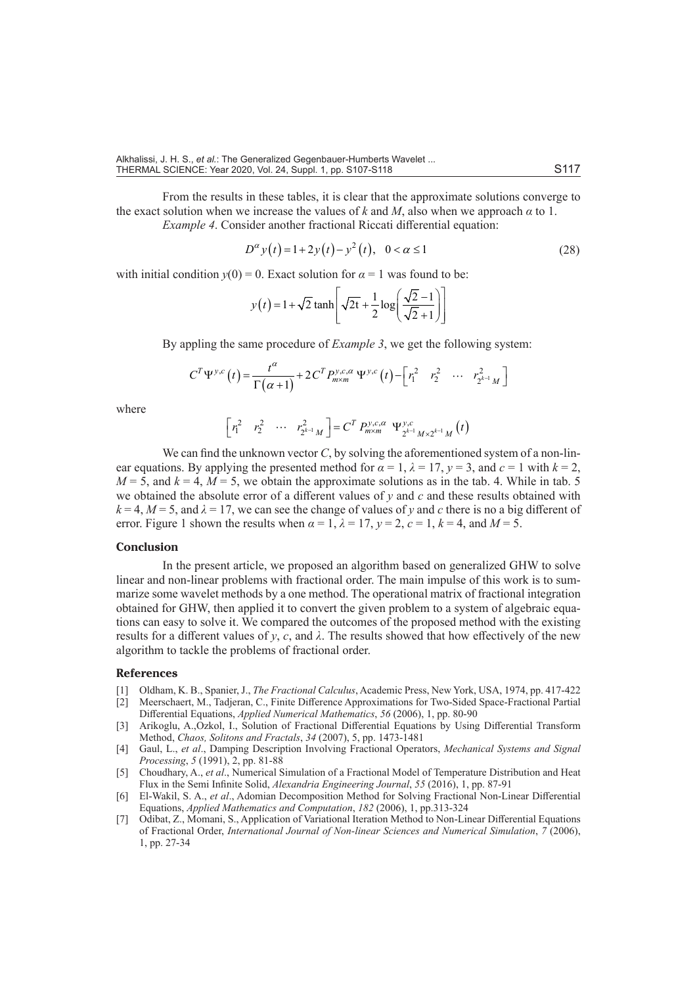From the results in these tables, it is clear that the approximate solutions converge to the exact solution when we increase the values of *k* and *M*, also when we approach  $\alpha$  to 1. *Example 4*. Consider another fractional Riccati differential equation:

$$
D^{\alpha} y(t) = 1 + 2y(t) - y^2(t), \quad 0 < \alpha \le 1
$$
 (28)

with initial condition  $y(0) = 0$ . Exact solution for  $\alpha = 1$  was found to be:

$$
y(t) = 1 + \sqrt{2} \tanh\left[\sqrt{2t} + \frac{1}{2}\log\left(\frac{\sqrt{2} - 1}{\sqrt{2} + 1}\right)\right]
$$

By appling the same procedure of *Example 3*, we get the following system:

$$
C^{T}\Psi^{y,c}(t) = \frac{t^{\alpha}}{\Gamma(\alpha+1)} + 2 C^{T} P_{m \times m}^{y,c,\alpha} \Psi^{y,c}(t) - \left[r_{1}^{2} \quad r_{2}^{2} \quad \cdots \quad r_{2^{k-1}M}^{2}\right]
$$

where

$$
\begin{bmatrix} r_1^2 & r_2^2 & \cdots & r_{2^{k-1}M}^2 \end{bmatrix} = C^T P_{m \times m}^{y,c,\alpha} \Psi_{2^{k-1}M \times 2^{k-1}M}^{y,c}(t)
$$

We can find the unknown vector *C*, by solving the aforementioned system of a non-linear equations. By applying the presented method for  $\alpha = 1$ ,  $\lambda = 17$ ,  $\gamma = 3$ , and  $c = 1$  with  $k = 2$ ,  $M = 5$ , and  $k = 4$ ,  $M = 5$ , we obtain the approximate solutions as in the tab. 4. While in tab. 5 we obtained the absolute error of a different values of  $\gamma$  and  $c$  and these results obtained with  $k = 4$ ,  $M = 5$ , and  $\lambda = 17$ , we can see the change of values of *y* and *c* there is no a big different of error. Figure 1 shown the results when  $\alpha = 1$ ,  $\lambda = 17$ ,  $y = 2$ ,  $c = 1$ ,  $k = 4$ , and  $M = 5$ .

#### **Conclusion**

In the present article, we proposed an algorithm based on generalized GHW to solve linear and non-linear problems with fractional order. The main impulse of this work is to summarize some wavelet methods by a one method. The operational matrix of fractional integration obtained for GHW, then applied it to convert the given problem to a system of algebraic equations can easy to solve it. We compared the outcomes of the proposed method with the existing results for a different values of  $\gamma$ ,  $c$ , and  $\lambda$ . The results showed that how effectively of the new algorithm to tackle the problems of fractional order.

#### **References**

- [1] Oldham, K. B., Spanier, J., *The Fractional Calculus*, Academic Press, New York, USA, 1974, pp. 417-422
- [2] Meerschaert, M., Tadjeran, C., Finite Difference Approximations for Two-Sided Space-Fractional Partial Differential Equations, *Applied Numerical Mathematics*, *56* (2006), 1, pp. 80-90
- [3] Arikoglu, A.,Ozkol, I., Solution of Fractional Differential Equations by Using Differential Transform Method, *Chaos, Solitons and Fractals*, *34* (2007), 5, pp. 1473-1481
- [4] Gaul, L., *et al*., Damping Description Involving Fractional Operators, *Mechanical Systems and Signal Processing*, *5* (1991), 2, pp. 81-88
- [5] Choudhary, A., *et al*., Numerical Simulation of a Fractional Model of Temperature Distribution and Heat Flux in the Semi Infinite Solid, *Alexandria Engineering Journal*, *55* (2016), 1, pp. 87-91
- [6] El-Wakil, S. A., *et al*., Adomian Decomposition Method for Solving Fractional Non-Linear Differential Equations, *Applied Mathematics and Computation*, *182* (2006), 1, pp.313-324
- [7] Odibat, Z., Momani, S., Application of Variational Iteration Method to Non-Linear Differential Equations of Fractional Order, *International Journal of Non-linear Sciences and Numerical Simulation*, *7* (2006), 1, pp. 27-34